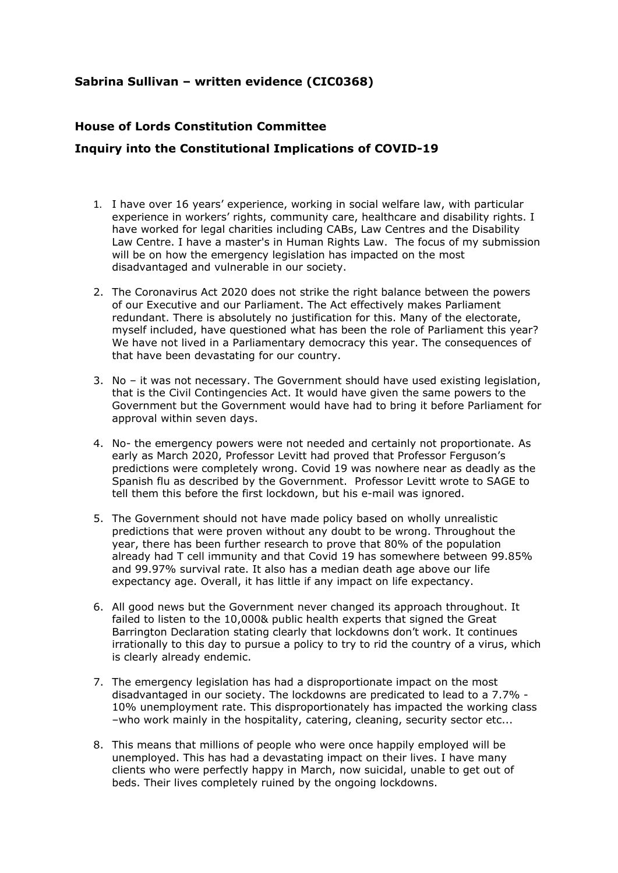## **Sabrina Sullivan – written evidence (CIC0368)**

## **House of Lords Constitution Committee Inquiry into the Constitutional Implications of COVID-19**

- 1. I have over 16 years' experience, working in social welfare law, with particular experience in workers' rights, community care, healthcare and disability rights. I have worked for legal charities including CABs, Law Centres and the Disability Law Centre. I have a master's in Human Rights Law. The focus of my submission will be on how the emergency legislation has impacted on the most disadvantaged and vulnerable in our society.
- 2. The Coronavirus Act 2020 does not strike the right balance between the powers of our Executive and our Parliament. The Act effectively makes Parliament redundant. There is absolutely no justification for this. Many of the electorate, myself included, have questioned what has been the role of Parliament this year? We have not lived in a Parliamentary democracy this year. The consequences of that have been devastating for our country.
- 3. No it was not necessary. The Government should have used existing legislation, that is the Civil Contingencies Act. It would have given the same powers to the Government but the Government would have had to bring it before Parliament for approval within seven days.
- 4. No- the emergency powers were not needed and certainly not proportionate. As early as March 2020, Professor Levitt had proved that Professor Ferguson's predictions were completely wrong. Covid 19 was nowhere near as deadly as the Spanish flu as described by the Government. Professor Levitt wrote to SAGE to tell them this before the first lockdown, but his e-mail was ignored.
- 5. The Government should not have made policy based on wholly unrealistic predictions that were proven without any doubt to be wrong. Throughout the year, there has been further research to prove that 80% of the population already had T cell immunity and that Covid 19 has somewhere between 99.85% and 99.97% survival rate. It also has a median death age above our life expectancy age. Overall, it has little if any impact on life expectancy.
- 6. All good news but the Government never changed its approach throughout. It failed to listen to the 10,000& public health experts that signed the Great Barrington Declaration stating clearly that lockdowns don't work. It continues irrationally to this day to pursue a policy to try to rid the country of a virus, which is clearly already endemic.
- 7. The emergency legislation has had a disproportionate impact on the most disadvantaged in our society. The lockdowns are predicated to lead to a 7.7% - 10% unemployment rate. This disproportionately has impacted the working class –who work mainly in the hospitality, catering, cleaning, security sector etc...
- 8. This means that millions of people who were once happily employed will be unemployed. This has had a devastating impact on their lives. I have many clients who were perfectly happy in March, now suicidal, unable to get out of beds. Their lives completely ruined by the ongoing lockdowns.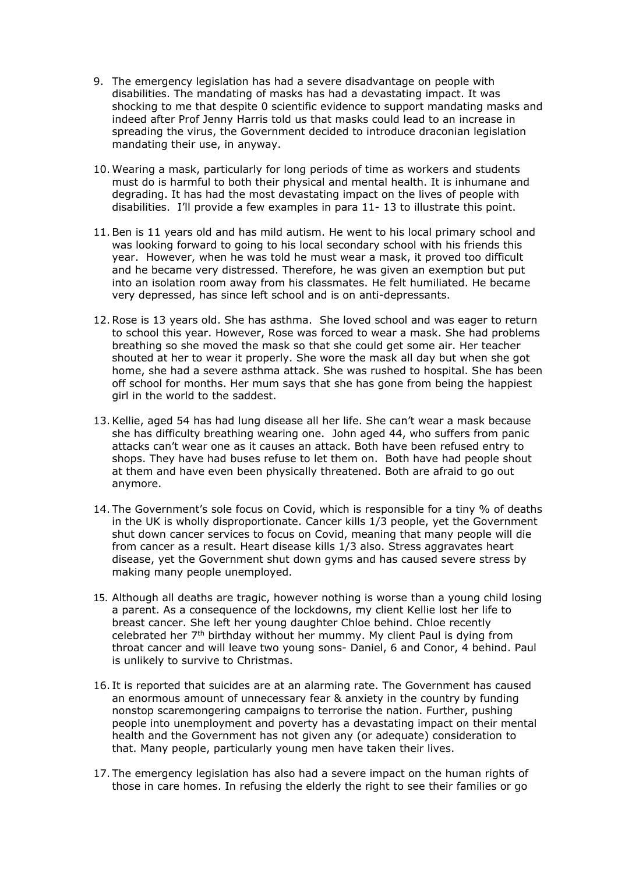- 9. The emergency legislation has had a severe disadvantage on people with disabilities. The mandating of masks has had a devastating impact. It was shocking to me that despite 0 scientific evidence to support mandating masks and indeed after Prof Jenny Harris told us that masks could lead to an increase in spreading the virus, the Government decided to introduce draconian legislation mandating their use, in anyway.
- 10. Wearing a mask, particularly for long periods of time as workers and students must do is harmful to both their physical and mental health. It is inhumane and degrading. It has had the most devastating impact on the lives of people with disabilities. I'll provide a few examples in para 11- 13 to illustrate this point.
- 11.Ben is 11 years old and has mild autism. He went to his local primary school and was looking forward to going to his local secondary school with his friends this year. However, when he was told he must wear a mask, it proved too difficult and he became very distressed. Therefore, he was given an exemption but put into an isolation room away from his classmates. He felt humiliated. He became very depressed, has since left school and is on anti-depressants.
- 12.Rose is 13 years old. She has asthma. She loved school and was eager to return to school this year. However, Rose was forced to wear a mask. She had problems breathing so she moved the mask so that she could get some air. Her teacher shouted at her to wear it properly. She wore the mask all day but when she got home, she had a severe asthma attack. She was rushed to hospital. She has been off school for months. Her mum says that she has gone from being the happiest girl in the world to the saddest.
- 13.Kellie, aged 54 has had lung disease all her life. She can't wear a mask because she has difficulty breathing wearing one. John aged 44, who suffers from panic attacks can't wear one as it causes an attack. Both have been refused entry to shops. They have had buses refuse to let them on. Both have had people shout at them and have even been physically threatened. Both are afraid to go out anymore.
- 14. The Government's sole focus on Covid, which is responsible for a tiny % of deaths in the UK is wholly disproportionate. Cancer kills 1/3 people, yet the Government shut down cancer services to focus on Covid, meaning that many people will die from cancer as a result. Heart disease kills 1/3 also. Stress aggravates heart disease, yet the Government shut down gyms and has caused severe stress by making many people unemployed.
- 15. Although all deaths are tragic, however nothing is worse than a young child losing a parent. As a consequence of the lockdowns, my client Kellie lost her life to breast cancer. She left her young daughter Chloe behind. Chloe recently celebrated her 7th birthday without her mummy. My client Paul is dying from throat cancer and will leave two young sons- Daniel, 6 and Conor, 4 behind. Paul is unlikely to survive to Christmas.
- 16. It is reported that suicides are at an alarming rate. The Government has caused an enormous amount of unnecessary fear & anxiety in the country by funding nonstop scaremongering campaigns to terrorise the nation. Further, pushing people into unemployment and poverty has a devastating impact on their mental health and the Government has not given any (or adequate) consideration to that. Many people, particularly young men have taken their lives.
- 17. The emergency legislation has also had a severe impact on the human rights of those in care homes. In refusing the elderly the right to see their families or go